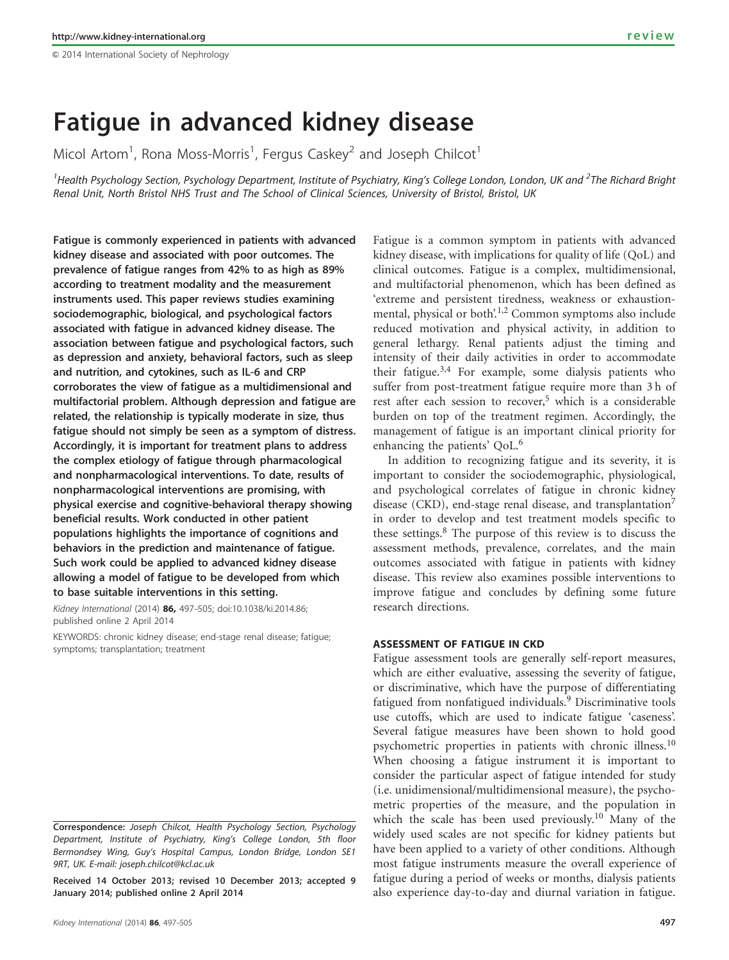$@$  2014 International Society of Nephrology

# Fatigue in advanced kidney disease

Micol Artom<sup>1</sup>, Rona Moss-Morris<sup>1</sup>, Fergus Caskey<sup>2</sup> and Joseph Chilcot<sup>1</sup>

<sup>1</sup>Health Psychology Section, Psychology Department, Institute of Psychiatry, King's College London, London, UK and <sup>2</sup>The Richard Bright Renal Unit, North Bristol NHS Trust and The School of Clinical Sciences, University of Bristol, Bristol, UK

Fatigue is commonly experienced in patients with advanced kidney disease and associated with poor outcomes. The prevalence of fatigue ranges from 42% to as high as 89% according to treatment modality and the measurement instruments used. This paper reviews studies examining sociodemographic, biological, and psychological factors associated with fatigue in advanced kidney disease. The association between fatigue and psychological factors, such as depression and anxiety, behavioral factors, such as sleep and nutrition, and cytokines, such as IL-6 and CRP corroborates the view of fatigue as a multidimensional and multifactorial problem. Although depression and fatigue are related, the relationship is typically moderate in size, thus fatigue should not simply be seen as a symptom of distress. Accordingly, it is important for treatment plans to address the complex etiology of fatigue through pharmacological and nonpharmacological interventions. To date, results of nonpharmacological interventions are promising, with physical exercise and cognitive-behavioral therapy showing beneficial results. Work conducted in other patient populations highlights the importance of cognitions and behaviors in the prediction and maintenance of fatigue. Such work could be applied to advanced kidney disease allowing a model of fatigue to be developed from which to base suitable interventions in this setting.

Kidney International (2014) 86, 497-505; doi[:10.1038/ki.2014.86](http://dx.doi.org/10.1038/ki.2014.86); published online 2 April 2014

KEYWORDS: chronic kidney disease; end-stage renal disease; fatigue; symptoms; transplantation; treatment

clinical outcomes. Fatigue is a complex, multidimensional, and multifactorial phenomenon, which has been defined as 'extreme and persistent tiredness, weakness or exhaustion-mental, physical or both'.<sup>[1,2](#page-6-0)</sup> Common symptoms also include reduced motivation and physical activity, in addition to general lethargy. Renal patients adjust the timing and intensity of their daily activities in order to accommodate their fatigue.<sup>[3,4](#page-6-0)</sup> For example, some dialysis patients who suffer from post-treatment fatigue require more than 3 h of rest after each session to recover,<sup>[5](#page-6-0)</sup> which is a considerable burden on top of the treatment regimen. Accordingly, the management of fatigue is an important clinical priority for enhancing the patients' QoL.<sup>[6](#page-6-0)</sup> In addition to recognizing fatigue and its severity, it is

Fatigue is a common symptom in patients with advanced kidney disease, with implications for quality of life (QoL) and

important to consider the sociodemographic, physiological, and psychological correlates of fatigue in chronic kidney disease (CKD), end-stage renal disease, and transplantation<sup>[7](#page-6-0)</sup> in order to develop and test treatment models specific to these settings.[8](#page-6-0) The purpose of this review is to discuss the assessment methods, prevalence, correlates, and the main outcomes associated with fatigue in patients with kidney disease. This review also examines possible interventions to improve fatigue and concludes by defining some future research directions.

# ASSESSMENT OF FATIGUE IN CKD

Fatigue assessment tools are generally self-report measures, which are either evaluative, assessing the severity of fatigue, or discriminative, which have the purpose of differentiating fatigued from nonfatigued individuals.<sup>[9](#page-6-0)</sup> Discriminative tools use cutoffs, which are used to indicate fatigue 'caseness'. Several fatigue measures have been shown to hold good psychometric properties in patients with chronic illness.<sup>[10](#page-6-0)</sup> When choosing a fatigue instrument it is important to consider the particular aspect of fatigue intended for study (i.e. unidimensional/multidimensional measure), the psychometric properties of the measure, and the population in which the scale has been used previously.<sup>[10](#page-6-0)</sup> Many of the widely used scales are not specific for kidney patients but have been applied to a variety of other conditions. Although most fatigue instruments measure the overall experience of fatigue during a period of weeks or months, dialysis patients also experience day-to-day and diurnal variation in fatigue.

Correspondence: Joseph Chilcot, Health Psychology Section, Psychology Department, Institute of Psychiatry, King's College London, 5th floor Bermondsey Wing, Guy's Hospital Campus, London Bridge, London SE1 9RT, UK. E-mail: [joseph.chilcot@kcl.ac.uk](mailto:joseph.chilcot@kcl.ac.uk)

Received 14 October 2013; revised 10 December 2013; accepted 9 January 2014; published online 2 April 2014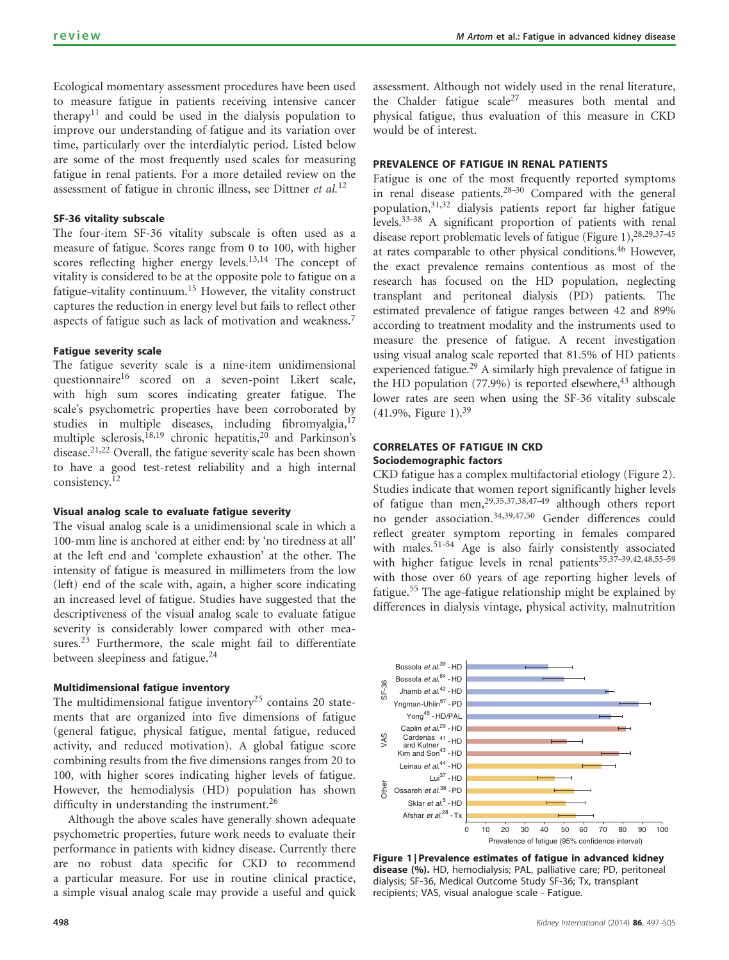Ecological momentary assessment procedures have been used to measure fatigue in patients receiving intensive cancer therapy<sup>[11](#page-6-0)</sup> and could be used in the dialysis population to improve our understanding of fatigue and its variation over time, particularly over the interdialytic period. Listed below are some of the most frequently used scales for measuring fatigue in renal patients. For a more detailed review on the assessment of fatigue in chronic illness, see Dittner et  $al$ .<sup>[12](#page-6-0)</sup>

### SF-36 vitality subscale

The four-item SF-36 vitality subscale is often used as a measure of fatigue. Scores range from 0 to 100, with higher scores reflecting higher energy levels.[13,14](#page-6-0) The concept of vitality is considered to be at the opposite pole to fatigue on a fatigue-vitality continuum.<sup>[15](#page-6-0)</sup> However, the vitality construct captures the reduction in energy level but fails to reflect other aspects of fatigue such as lack of motivation and weakness.<sup>[7](#page-6-0)</sup>

## Fatigue severity scale

The fatigue severity scale is a nine-item unidimensional questionnaire<sup>[16](#page-6-0)</sup> scored on a seven-point Likert scale, with high sum scores indicating greater fatigue. The scale's psychometric properties have been corroborated by studies in multiple diseases, including fibromyalgia,<sup>[17](#page-6-0)</sup> multiple sclerosis,<sup>[18,19](#page-6-0)</sup> chronic hepatitis,<sup>[20](#page-6-0)</sup> and Parkinson's disease.<sup>[21,22](#page-6-0)</sup> Overall, the fatigue severity scale has been shown to have a good test-retest reliability and a high internal consistency.[12](#page-6-0)

#### Visual analog scale to evaluate fatigue severity

The visual analog scale is a unidimensional scale in which a 100-mm line is anchored at either end: by 'no tiredness at all' at the left end and 'complete exhaustion' at the other. The intensity of fatigue is measured in millimeters from the low (left) end of the scale with, again, a higher score indicating an increased level of fatigue. Studies have suggested that the descriptiveness of the visual analog scale to evaluate fatigue severity is considerably lower compared with other measures.<sup>23</sup> Furthermore, the scale might fail to differentiate between sleepiness and fatigue.<sup>[24](#page-6-0)</sup>

#### Multidimensional fatigue inventory

The multidimensional fatigue inventory<sup>[25](#page-6-0)</sup> contains 20 statements that are organized into five dimensions of fatigue (general fatigue, physical fatigue, mental fatigue, reduced activity, and reduced motivation). A global fatigue score combining results from the five dimensions ranges from 20 to 100, with higher scores indicating higher levels of fatigue. However, the hemodialysis (HD) population has shown difficulty in understanding the instrument.<sup>[26](#page-6-0)</sup>

Although the above scales have generally shown adequate psychometric properties, future work needs to evaluate their performance in patients with kidney disease. Currently there are no robust data specific for CKD to recommend a particular measure. For use in routine clinical practice, a simple visual analog scale may provide a useful and quick

assessment. Although not widely used in the renal literature, the Chalder fatigue  $scale^{27}$  $scale^{27}$  $scale^{27}$  measures both mental and physical fatigue, thus evaluation of this measure in CKD would be of interest.

# PREVALENCE OF FATIGUE IN RENAL PATIENTS

Fatigue is one of the most frequently reported symptoms in renal disease patients. $28-30$  Compared with the general population,<sup>[31,32](#page-6-0)</sup> dialysis patients report far higher fatigue levels[.33–38](#page-6-0) A significant proportion of patients with renal disease report problematic levels of fatigue (Figure 1),  $28,29,37-45$ at rates comparable to other physical conditions.<sup>[46](#page-7-0)</sup> However, the exact prevalence remains contentious as most of the research has focused on the HD population, neglecting transplant and peritoneal dialysis (PD) patients. The estimated prevalence of fatigue ranges between 42 and 89% according to treatment modality and the instruments used to measure the presence of fatigue. A recent investigation using visual analog scale reported that 81.5% of HD patients experienced fatigue.<sup>29</sup> A similarly high prevalence of fatigue in the HD population  $(77.9\%)$  is reported elsewhere,<sup>43</sup> although lower rates are seen when using the SF-36 vitality subscale  $(41.9\%,$  Figure 1).<sup>[39](#page-6-0)</sup>

# CORRELATES OF FATIGUE IN CKD Sociodemographic factors

CKD fatigue has a complex multifactorial etiology ([Figure 2](#page-2-0)). Studies indicate that women report significantly higher levels of fatigue than men,[29,35,37,38,47–49](#page-6-0) although others report no gender association.[34,39,47,50](#page-6-0) Gender differences could reflect greater symptom reporting in females compared with males.<sup>51-54</sup> Age is also fairly consistently associated with higher fatigue levels in renal patients<sup>35,37-39,42,48,55-59</sup> with those over 60 years of age reporting higher levels of fatigue.<sup>[55](#page-7-0)</sup> The age–fatigue relationship might be explained by differences in dialysis vintage, physical activity, malnutrition



Figure 1 | Prevalence estimates of fatigue in advanced kidney disease (%). HD, hemodialysis; PAL, palliative care; PD, peritoneal dialysis; SF-36, Medical Outcome Study SF-36; Tx, transplant recipients; VAS, visual analogue scale - Fatigue.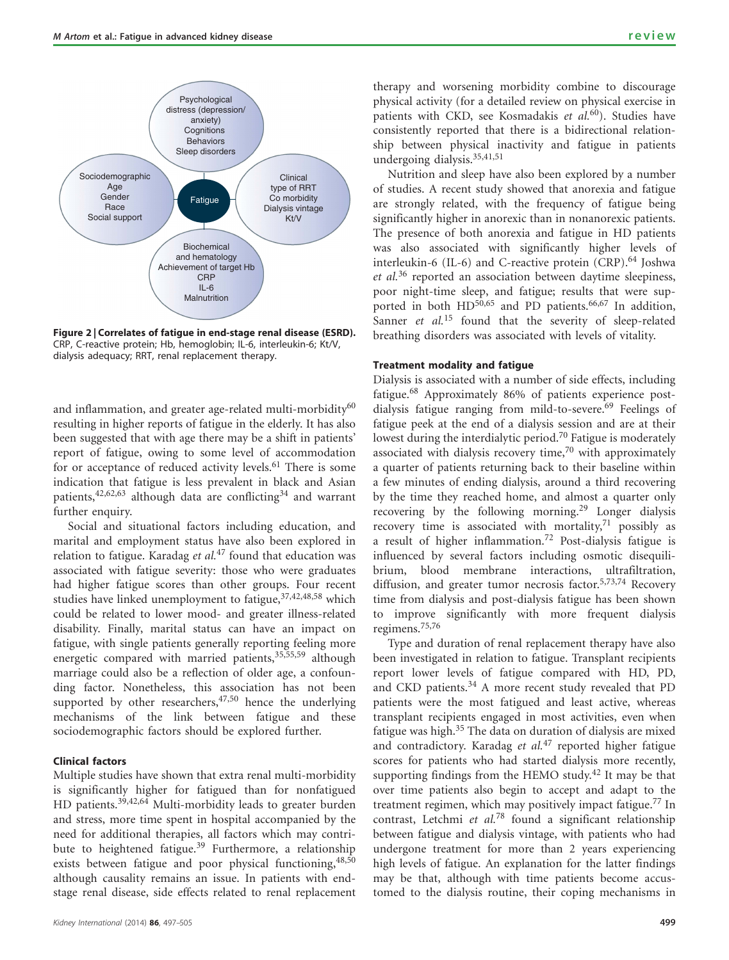<span id="page-2-0"></span>

Figure 2 | Correlates of fatigue in end-stage renal disease (ESRD). CRP, C-reactive protein; Hb, hemoglobin; IL-6, interleukin-6; Kt/V, dialysis adequacy; RRT, renal replacement therapy.

and inflammation, and greater age-related multi-morbidity $60$ resulting in higher reports of fatigue in the elderly. It has also been suggested that with age there may be a shift in patients' report of fatigue, owing to some level of accommodation for or acceptance of reduced activity levels.<sup>61</sup> There is some indication that fatigue is less prevalent in black and Asian patients,  $42,62,63$  although data are conflicting  $34$  and warrant further enquiry.

Social and situational factors including education, and marital and employment status have also been explored in relation to fatigue. Karadag et  $al$ .<sup>[47](#page-7-0)</sup> found that education was associated with fatigue severity: those who were graduates had higher fatigue scores than other groups. Four recent studies have linked unemployment to fatigue, [37,42,48,58](#page-6-0) which could be related to lower mood- and greater illness-related disability. Finally, marital status can have an impact on fatigue, with single patients generally reporting feeling more energetic compared with married patients, [35,55,59](#page-6-0) although marriage could also be a reflection of older age, a confounding factor. Nonetheless, this association has not been supported by other researchers,  $47,50$  hence the underlying mechanisms of the link between fatigue and these sociodemographic factors should be explored further.

## Clinical factors

Multiple studies have shown that extra renal multi-morbidity is significantly higher for fatigued than for nonfatigued HD patients.<sup>[39,42,64](#page-6-0)</sup> Multi-morbidity leads to greater burden and stress, more time spent in hospital accompanied by the need for additional therapies, all factors which may contri-bute to heightened fatigue.<sup>[39](#page-6-0)</sup> Furthermore, a relationship exists between fatigue and poor physical functioning, [48,50](#page-7-0) although causality remains an issue. In patients with endstage renal disease, side effects related to renal replacement therapy and worsening morbidity combine to discourage physical activity (for a detailed review on physical exercise in patients with CKD, see Kosmadakis et  $al$ <sup>60</sup>). Studies have consistently reported that there is a bidirectional relationship between physical inactivity and fatigue in patients undergoing dialysis.[35,41,51](#page-6-0)

Nutrition and sleep have also been explored by a number of studies. A recent study showed that anorexia and fatigue are strongly related, with the frequency of fatigue being significantly higher in anorexic than in nonanorexic patients. The presence of both anorexia and fatigue in HD patients was also associated with significantly higher levels of interleukin-6 (IL-6) and C-reactive protein  $(CRP)$ .<sup>[64](#page-7-0)</sup> Joshwa et al.[36](#page-6-0) reported an association between daytime sleepiness, poor night-time sleep, and fatigue; results that were sup-ported in both HD<sup>[50,65](#page-7-0)</sup> and PD patients.<sup>[66,67](#page-7-0)</sup> In addition, Sanner et al.<sup>[15](#page-6-0)</sup> found that the severity of sleep-related breathing disorders was associated with levels of vitality.

# Treatment modality and fatigue

Dialysis is associated with a number of side effects, including fatigue.[68](#page-7-0) Approximately 86% of patients experience post-dialysis fatigue ranging from mild-to-severe.<sup>[69](#page-7-0)</sup> Feelings of fatigue peek at the end of a dialysis session and are at their lowest during the interdialytic period[.70](#page-7-0) Fatigue is moderately associated with dialysis recovery time,<sup>[70](#page-7-0)</sup> with approximately a quarter of patients returning back to their baseline within a few minutes of ending dialysis, around a third recovering by the time they reached home, and almost a quarter only recovering by the following morning.[29](#page-6-0) Longer dialysis recovery time is associated with mortality, $71$  possibly as a result of higher inflammation.[72](#page-7-0) Post-dialysis fatigue is influenced by several factors including osmotic disequilibrium, blood membrane interactions, ultrafiltration, diffusion, and greater tumor necrosis factor.<sup>[5,73,74](#page-6-0)</sup> Recovery time from dialysis and post-dialysis fatigue has been shown to improve significantly with more frequent dialysis regimens.[75,76](#page-7-0)

Type and duration of renal replacement therapy have also been investigated in relation to fatigue. Transplant recipients report lower levels of fatigue compared with HD, PD, and CKD patients. $34$  A more recent study revealed that PD patients were the most fatigued and least active, whereas transplant recipients engaged in most activities, even when fatigue was high.<sup>35</sup> The data on duration of dialysis are mixed and contradictory. Karadag et al.<sup>[47](#page-7-0)</sup> reported higher fatigue scores for patients who had started dialysis more recently, supporting findings from the HEMO study.<sup>[42](#page-7-0)</sup> It may be that over time patients also begin to accept and adapt to the treatment regimen, which may positively impact fatigue.<sup>[77](#page-7-0)</sup> In contrast, Letchmi et al.[78](#page-7-0) found a significant relationship between fatigue and dialysis vintage, with patients who had undergone treatment for more than 2 years experiencing high levels of fatigue. An explanation for the latter findings may be that, although with time patients become accustomed to the dialysis routine, their coping mechanisms in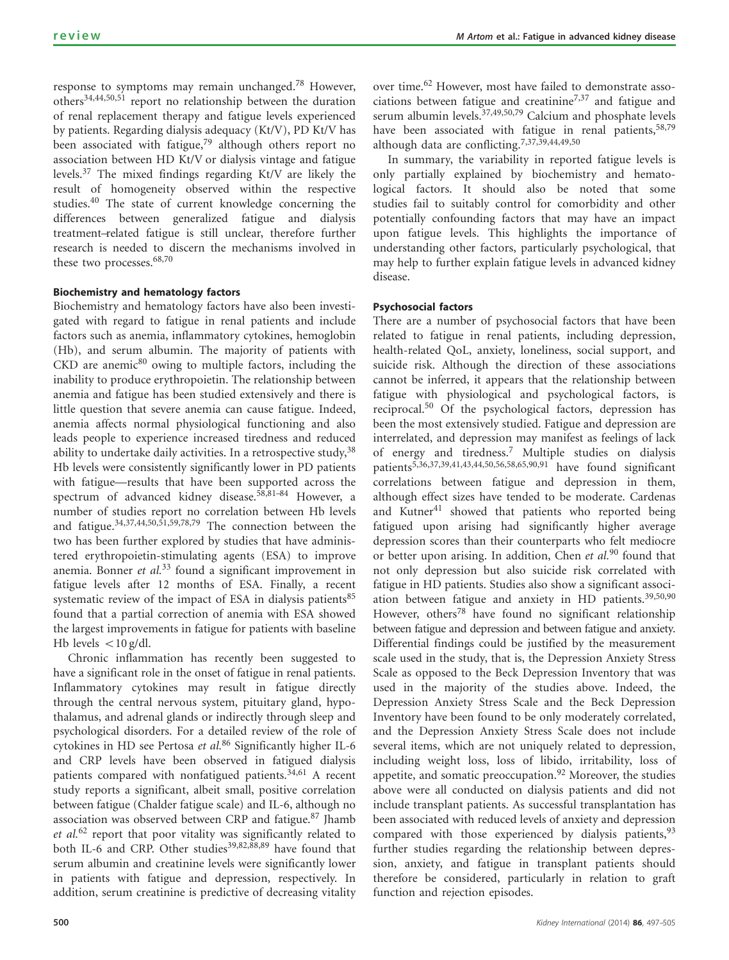response to symptoms may remain unchanged.<sup>[78](#page-7-0)</sup> However, others[34,44,50,51](#page-6-0) report no relationship between the duration of renal replacement therapy and fatigue levels experienced by patients. Regarding dialysis adequacy (Kt/V), PD Kt/V has been associated with fatigue,<sup>[79](#page-7-0)</sup> although others report no association between HD Kt/V or dialysis vintage and fatigue levels[.37](#page-6-0) The mixed findings regarding Kt/V are likely the result of homogeneity observed within the respective studies.<sup>[40](#page-6-0)</sup> The state of current knowledge concerning the differences between generalized fatigue and dialysis treatment–related fatigue is still unclear, therefore further research is needed to discern the mechanisms involved in these two processes.<sup>[68,70](#page-7-0)</sup>

# Biochemistry and hematology factors

Biochemistry and hematology factors have also been investigated with regard to fatigue in renal patients and include factors such as anemia, inflammatory cytokines, hemoglobin (Hb), and serum albumin. The majority of patients with  $CKD$  are anemic $80$  owing to multiple factors, including the inability to produce erythropoietin. The relationship between anemia and fatigue has been studied extensively and there is little question that severe anemia can cause fatigue. Indeed, anemia affects normal physiological functioning and also leads people to experience increased tiredness and reduced ability to undertake daily activities. In a retrospective study,  $38$ Hb levels were consistently significantly lower in PD patients with fatigue—results that have been supported across the spectrum of advanced kidney disease.<sup>58,81-84</sup> However, a number of studies report no correlation between Hb levels and fatigue.[34,37,44,50,51,59,78,79](#page-6-0) The connection between the two has been further explored by studies that have administered erythropoietin-stimulating agents (ESA) to improve anemia. Bonner et  $al^{33}$  $al^{33}$  $al^{33}$  found a significant improvement in fatigue levels after 12 months of ESA. Finally, a recent systematic review of the impact of ESA in dialysis patients $85$ found that a partial correction of anemia with ESA showed the largest improvements in fatigue for patients with baseline Hb levels  $\langle 10 \text{ g/dl.} \rangle$ 

Chronic inflammation has recently been suggested to have a significant role in the onset of fatigue in renal patients. Inflammatory cytokines may result in fatigue directly through the central nervous system, pituitary gland, hypothalamus, and adrenal glands or indirectly through sleep and psychological disorders. For a detailed review of the role of cytokines in HD see Pertosa et al.<sup>[86](#page-7-0)</sup> Significantly higher IL-6 and CRP levels have been observed in fatigued dialysis patients compared with nonfatigued patients.<sup>[34,61](#page-6-0)</sup> A recent study reports a significant, albeit small, positive correlation between fatigue (Chalder fatigue scale) and IL-6, although no association was observed between CRP and fatigue.<sup>[87](#page-7-0)</sup> Jhamb et al.<sup>[62](#page-7-0)</sup> report that poor vitality was significantly related to both IL-6 and CRP. Other studies<sup>[39,82,88,89](#page-6-0)</sup> have found that serum albumin and creatinine levels were significantly lower in patients with fatigue and depression, respectively. In addition, serum creatinine is predictive of decreasing vitality

over time.<sup>[62](#page-7-0)</sup> However, most have failed to demonstrate associations between fatigue and creatinine<sup> $7,37$ </sup> and fatigue and serum albumin levels.<sup>37,49,50,79</sup> Calcium and phosphate levels have been associated with fatigue in renal patients, [58,79](#page-7-0) although data are conflicting.[7,37,39,44,49,50](#page-6-0)

In summary, the variability in reported fatigue levels is only partially explained by biochemistry and hematological factors. It should also be noted that some studies fail to suitably control for comorbidity and other potentially confounding factors that may have an impact upon fatigue levels. This highlights the importance of understanding other factors, particularly psychological, that may help to further explain fatigue levels in advanced kidney disease.

# Psychosocial factors

There are a number of psychosocial factors that have been related to fatigue in renal patients, including depression, health-related QoL, anxiety, loneliness, social support, and suicide risk. Although the direction of these associations cannot be inferred, it appears that the relationship between fatigue with physiological and psychological factors, is reciprocal.[50](#page-7-0) Of the psychological factors, depression has been the most extensively studied. Fatigue and depression are interrelated, and depression may manifest as feelings of lack of energy and tiredness.[7](#page-6-0) Multiple studies on dialysis patients[5,36,37,39,41,43,44,50,56,58,65,90,91](#page-6-0) have found significant correlations between fatigue and depression in them, although effect sizes have tended to be moderate. Cardenas and Kutner $41$  showed that patients who reported being fatigued upon arising had significantly higher average depression scores than their counterparts who felt mediocre or better upon arising. In addition, Chen et al.<sup>[90](#page-7-0)</sup> found that not only depression but also suicide risk correlated with fatigue in HD patients. Studies also show a significant associ-ation between fatigue and anxiety in HD patients.<sup>[39,50,90](#page-6-0)</sup> However, others<sup>[78](#page-7-0)</sup> have found no significant relationship between fatigue and depression and between fatigue and anxiety. Differential findings could be justified by the measurement scale used in the study, that is, the Depression Anxiety Stress Scale as opposed to the Beck Depression Inventory that was used in the majority of the studies above. Indeed, the Depression Anxiety Stress Scale and the Beck Depression Inventory have been found to be only moderately correlated, and the Depression Anxiety Stress Scale does not include several items, which are not uniquely related to depression, including weight loss, loss of libido, irritability, loss of appetite, and somatic preoccupation.<sup>[92](#page-7-0)</sup> Moreover, the studies above were all conducted on dialysis patients and did not include transplant patients. As successful transplantation has been associated with reduced levels of anxiety and depression compared with those experienced by dialysis patients,  $93$ further studies regarding the relationship between depression, anxiety, and fatigue in transplant patients should therefore be considered, particularly in relation to graft function and rejection episodes.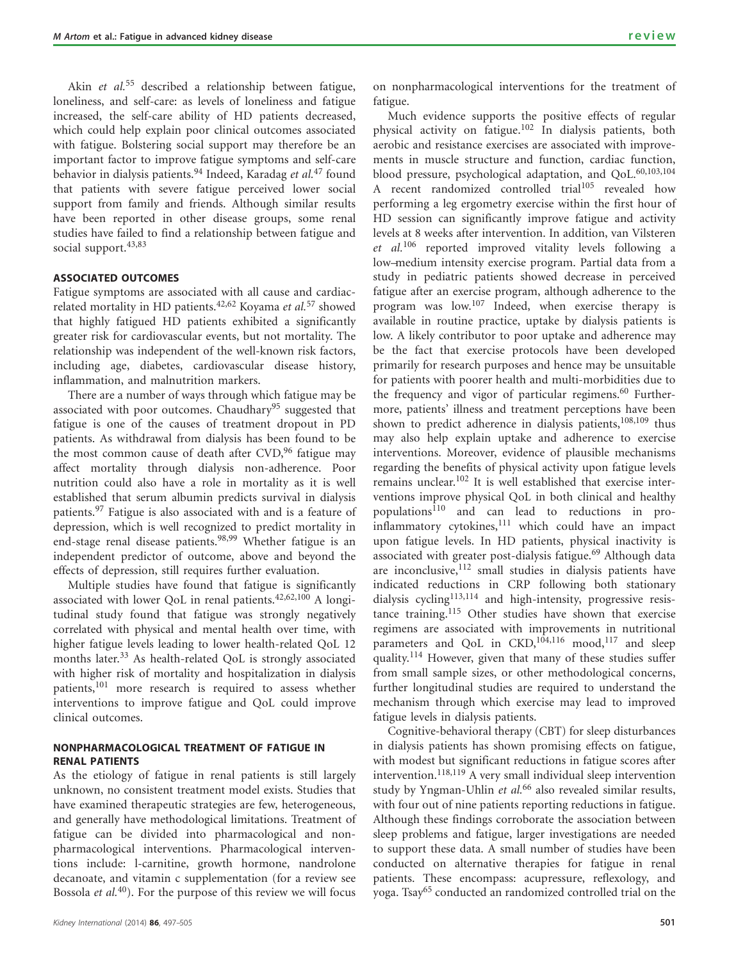Akin et al.<sup>[55](#page-7-0)</sup> described a relationship between fatigue, loneliness, and self-care: as levels of loneliness and fatigue increased, the self-care ability of HD patients decreased, which could help explain poor clinical outcomes associated with fatigue. Bolstering social support may therefore be an important factor to improve fatigue symptoms and self-care behavior in dialysis patients.<sup>[94](#page-7-0)</sup> Indeed, Karadag et al.<sup>[47](#page-7-0)</sup> found that patients with severe fatigue perceived lower social support from family and friends. Although similar results have been reported in other disease groups, some renal studies have failed to find a relationship between fatigue and social support.<sup>[43,83](#page-7-0)</sup>

#### ASSOCIATED OUTCOMES

Fatigue symptoms are associated with all cause and cardiac-related mortality in HD patients.<sup>[42,62](#page-7-0)</sup> Koyama et al.<sup>[57](#page-7-0)</sup> showed that highly fatigued HD patients exhibited a significantly greater risk for cardiovascular events, but not mortality. The relationship was independent of the well-known risk factors, including age, diabetes, cardiovascular disease history, inflammation, and malnutrition markers.

There are a number of ways through which fatigue may be associated with poor outcomes. Chaudhary<sup>[95](#page-7-0)</sup> suggested that fatigue is one of the causes of treatment dropout in PD patients. As withdrawal from dialysis has been found to be the most common cause of death after  $CVD<sub>1</sub><sup>96</sup>$  $CVD<sub>1</sub><sup>96</sup>$  $CVD<sub>1</sub><sup>96</sup>$  fatigue may affect mortality through dialysis non-adherence. Poor nutrition could also have a role in mortality as it is well established that serum albumin predicts survival in dialysis patients.<sup>[97](#page-8-0)</sup> Fatigue is also associated with and is a feature of depression, which is well recognized to predict mortality in end-stage renal disease patients.<sup>[98,99](#page-8-0)</sup> Whether fatigue is an independent predictor of outcome, above and beyond the effects of depression, still requires further evaluation.

Multiple studies have found that fatigue is significantly associated with lower QoL in renal patients.<sup>[42,62,100](#page-7-0)</sup> A longitudinal study found that fatigue was strongly negatively correlated with physical and mental health over time, with higher fatigue levels leading to lower health-related QoL 12 months later.<sup>[33](#page-6-0)</sup> As health-related QoL is strongly associated with higher risk of mortality and hospitalization in dialysis patients,<sup>[101](#page-8-0)</sup> more research is required to assess whether interventions to improve fatigue and QoL could improve clinical outcomes.

# NONPHARMACOLOGICAL TREATMENT OF FATIGUE IN RENAL PATIENTS

As the etiology of fatigue in renal patients is still largely unknown, no consistent treatment model exists. Studies that have examined therapeutic strategies are few, heterogeneous, and generally have methodological limitations. Treatment of fatigue can be divided into pharmacological and nonpharmacological interventions. Pharmacological interventions include: l-carnitine, growth hormone, nandrolone decanoate, and vitamin c supplementation (for a review see Bossola et  $al$ .<sup>[40](#page-6-0)</sup>). For the purpose of this review we will focus on nonpharmacological interventions for the treatment of fatigue.

Much evidence supports the positive effects of regular physical activity on fatigue.[102](#page-8-0) In dialysis patients, both aerobic and resistance exercises are associated with improvements in muscle structure and function, cardiac function, blood pressure, psychological adaptation, and QoL.<sup>[60,103,104](#page-7-0)</sup> A recent randomized controlled trial<sup>[105](#page-8-0)</sup> revealed how performing a leg ergometry exercise within the first hour of HD session can significantly improve fatigue and activity levels at 8 weeks after intervention. In addition, van Vilsteren et al.<sup>[106](#page-8-0)</sup> reported improved vitality levels following a low–medium intensity exercise program. Partial data from a study in pediatric patients showed decrease in perceived fatigue after an exercise program, although adherence to the program was low.<sup>107</sup> Indeed, when exercise therapy is available in routine practice, uptake by dialysis patients is low. A likely contributor to poor uptake and adherence may be the fact that exercise protocols have been developed primarily for research purposes and hence may be unsuitable for patients with poorer health and multi-morbidities due to the frequency and vigor of particular regimens.<sup>[60](#page-7-0)</sup> Furthermore, patients' illness and treatment perceptions have been shown to predict adherence in dialysis patients,  $108,109$  thus may also help explain uptake and adherence to exercise interventions. Moreover, evidence of plausible mechanisms regarding the benefits of physical activity upon fatigue levels remains unclear.<sup>102</sup> It is well established that exercise interventions improve physical QoL in both clinical and healthy populations<sup>[110](#page-8-0)</sup> and can lead to reductions in proinflammatory cytokines, $111$  which could have an impact upon fatigue levels. In HD patients, physical inactivity is associated with greater post-dialysis fatigue.<sup>[69](#page-7-0)</sup> Although data are inconclusive, 112 small studies in dialysis patients have indicated reductions in CRP following both stationary dialysis cycling<sup>[113,114](#page-8-0)</sup> and high-intensity, progressive resistance training.[115](#page-8-0) Other studies have shown that exercise regimens are associated with improvements in nutritional parameters and QoL in CKD,<sup>[104,116](#page-8-0)</sup> mood,<sup>[117](#page-8-0)</sup> and sleep quality.<sup>[114](#page-8-0)</sup> However, given that many of these studies suffer from small sample sizes, or other methodological concerns, further longitudinal studies are required to understand the mechanism through which exercise may lead to improved fatigue levels in dialysis patients.

Cognitive-behavioral therapy (CBT) for sleep disturbances in dialysis patients has shown promising effects on fatigue, with modest but significant reductions in fatigue scores after intervention.<sup>[118,119](#page-8-0)</sup> A very small individual sleep intervention study by Yngman-Uhlin *et al.*<sup>[66](#page-7-0)</sup> also revealed similar results, with four out of nine patients reporting reductions in fatigue. Although these findings corroborate the association between sleep problems and fatigue, larger investigations are needed to support these data. A small number of studies have been conducted on alternative therapies for fatigue in renal patients. These encompass: acupressure, reflexology, and yoga. Tsay[65](#page-7-0) conducted an randomized controlled trial on the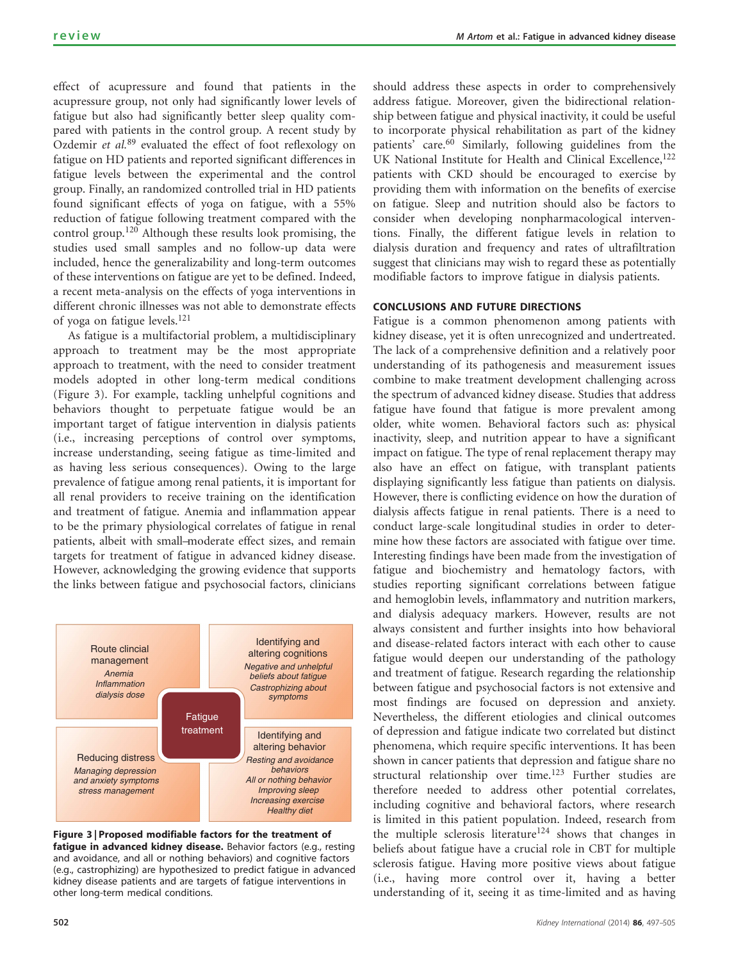effect of acupressure and found that patients in the acupressure group, not only had significantly lower levels of fatigue but also had significantly better sleep quality compared with patients in the control group. A recent study by Ozdemir et al.<sup>[89](#page-7-0)</sup> evaluated the effect of foot reflexology on fatigue on HD patients and reported significant differences in fatigue levels between the experimental and the control group. Finally, an randomized controlled trial in HD patients found significant effects of yoga on fatigue, with a 55% reduction of fatigue following treatment compared with the control group.[120](#page-8-0) Although these results look promising, the studies used small samples and no follow-up data were included, hence the generalizability and long-term outcomes of these interventions on fatigue are yet to be defined. Indeed, a recent meta-analysis on the effects of yoga interventions in different chronic illnesses was not able to demonstrate effects of yoga on fatigue levels.[121](#page-8-0)

As fatigue is a multifactorial problem, a multidisciplinary approach to treatment may be the most appropriate approach to treatment, with the need to consider treatment models adopted in other long-term medical conditions (Figure 3). For example, tackling unhelpful cognitions and behaviors thought to perpetuate fatigue would be an important target of fatigue intervention in dialysis patients (i.e., increasing perceptions of control over symptoms, increase understanding, seeing fatigue as time-limited and as having less serious consequences). Owing to the large prevalence of fatigue among renal patients, it is important for all renal providers to receive training on the identification and treatment of fatigue. Anemia and inflammation appear to be the primary physiological correlates of fatigue in renal patients, albeit with small–moderate effect sizes, and remain targets for treatment of fatigue in advanced kidney disease. However, acknowledging the growing evidence that supports the links between fatigue and psychosocial factors, clinicians





should address these aspects in order to comprehensively address fatigue. Moreover, given the bidirectional relationship between fatigue and physical inactivity, it could be useful to incorporate physical rehabilitation as part of the kidney patients' care.<sup>[60](#page-7-0)</sup> Similarly, following guidelines from the UK National Institute for Health and Clinical Excellence,<sup>[122](#page-8-0)</sup> patients with CKD should be encouraged to exercise by providing them with information on the benefits of exercise on fatigue. Sleep and nutrition should also be factors to consider when developing nonpharmacological interventions. Finally, the different fatigue levels in relation to dialysis duration and frequency and rates of ultrafiltration suggest that clinicians may wish to regard these as potentially modifiable factors to improve fatigue in dialysis patients.

#### CONCLUSIONS AND FUTURE DIRECTIONS

Fatigue is a common phenomenon among patients with kidney disease, yet it is often unrecognized and undertreated. The lack of a comprehensive definition and a relatively poor understanding of its pathogenesis and measurement issues combine to make treatment development challenging across the spectrum of advanced kidney disease. Studies that address fatigue have found that fatigue is more prevalent among older, white women. Behavioral factors such as: physical inactivity, sleep, and nutrition appear to have a significant impact on fatigue. The type of renal replacement therapy may also have an effect on fatigue, with transplant patients displaying significantly less fatigue than patients on dialysis. However, there is conflicting evidence on how the duration of dialysis affects fatigue in renal patients. There is a need to conduct large-scale longitudinal studies in order to determine how these factors are associated with fatigue over time. Interesting findings have been made from the investigation of fatigue and biochemistry and hematology factors, with studies reporting significant correlations between fatigue and hemoglobin levels, inflammatory and nutrition markers, and dialysis adequacy markers. However, results are not always consistent and further insights into how behavioral and disease-related factors interact with each other to cause fatigue would deepen our understanding of the pathology and treatment of fatigue. Research regarding the relationship between fatigue and psychosocial factors is not extensive and most findings are focused on depression and anxiety. Nevertheless, the different etiologies and clinical outcomes of depression and fatigue indicate two correlated but distinct phenomena, which require specific interventions. It has been shown in cancer patients that depression and fatigue share no structural relationship over time.<sup>[123](#page-8-0)</sup> Further studies are therefore needed to address other potential correlates, including cognitive and behavioral factors, where research is limited in this patient population. Indeed, research from the multiple sclerosis literature<sup>124</sup> shows that changes in beliefs about fatigue have a crucial role in CBT for multiple sclerosis fatigue. Having more positive views about fatigue (i.e., having more control over it, having a better understanding of it, seeing it as time-limited and as having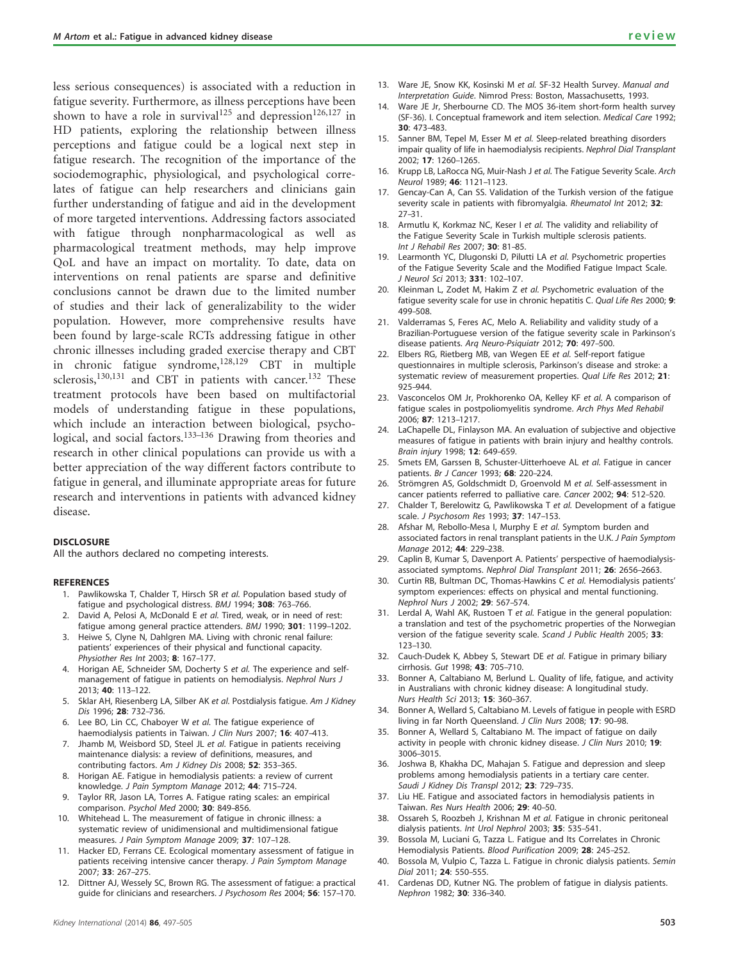<span id="page-6-0"></span>less serious consequences) is associated with a reduction in fatigue severity. Furthermore, as illness perceptions have been shown to have a role in survival<sup>[125](#page-8-0)</sup> and depression<sup>[126,127](#page-8-0)</sup> in HD patients, exploring the relationship between illness perceptions and fatigue could be a logical next step in fatigue research. The recognition of the importance of the sociodemographic, physiological, and psychological correlates of fatigue can help researchers and clinicians gain further understanding of fatigue and aid in the development of more targeted interventions. Addressing factors associated with fatigue through nonpharmacological as well as pharmacological treatment methods, may help improve QoL and have an impact on mortality. To date, data on interventions on renal patients are sparse and definitive conclusions cannot be drawn due to the limited number of studies and their lack of generalizability to the wider population. However, more comprehensive results have been found by large-scale RCTs addressing fatigue in other chronic illnesses including graded exercise therapy and CBT in chronic fatigue syndrome, $128,129$  CBT in multiple sclerosis,<sup>[130,131](#page-8-0)</sup> and CBT in patients with cancer.<sup>[132](#page-8-0)</sup> These treatment protocols have been based on multifactorial models of understanding fatigue in these populations, which include an interaction between biological, psycho-logical, and social factors.<sup>[133–136](#page-8-0)</sup> Drawing from theories and research in other clinical populations can provide us with a better appreciation of the way different factors contribute to fatigue in general, and illuminate appropriate areas for future research and interventions in patients with advanced kidney disease.

#### **DISCLOSURE**

All the authors declared no competing interests.

#### **REFERENCES**

- 1. Pawlikowska T, Chalder T, Hirsch SR et al. Population based study of fatigue and psychological distress. BMJ 1994; 308: 763–766.
- 2. David A, Pelosi A, McDonald E et al. Tired, weak, or in need of rest: fatigue among general practice attenders. BMJ 1990; 301: 1199–1202.
- 3. Heiwe S, Clyne N, Dahlgren MA. Living with chronic renal failure: patients' experiences of their physical and functional capacity. Physiother Res Int 2003; 8: 167–177.
- 4. Horigan AE, Schneider SM, Docherty S et al. The experience and selfmanagement of fatigue in patients on hemodialysis. Nephrol Nurs J 2013; 40: 113–122.
- Sklar AH, Riesenberg LA, Silber AK et al. Postdialysis fatigue. Am J Kidney Dis 1996; 28: 732–736.
- Lee BO, Lin CC, Chaboyer W et al. The fatigue experience of haemodialysis patients in Taiwan. J Clin Nurs 2007; 16: 407-413.
- 7. Jhamb M, Weisbord SD, Steel JL et al. Fatigue in patients receiving maintenance dialysis: a review of definitions, measures, and contributing factors. Am J Kidney Dis 2008; 52: 353–365.
- 8. Horigan AE. Fatigue in hemodialysis patients: a review of current knowledge. J Pain Symptom Manage 2012; 44: 715–724.
- Taylor RR, Jason LA, Torres A. Fatigue rating scales: an empirical comparison. Psychol Med 2000; 30: 849–856.
- 10. Whitehead L. The measurement of fatigue in chronic illness: a systematic review of unidimensional and multidimensional fatigue measures. J Pain Symptom Manage 2009; 37: 107–128.
- 11. Hacker ED, Ferrans CE. Ecological momentary assessment of fatigue in patients receiving intensive cancer therapy. J Pain Symptom Manage 2007; 33: 267–275.
- 12. Dittner AJ, Wessely SC, Brown RG. The assessment of fatigue: a practical guide for clinicians and researchers. J Psychosom Res 2004; 56: 157–170.
- 13. Ware JE, Snow KK, Kosinski M et al. SF-32 Health Survey. Manual and Interpretation Guide. Nimrod Press: Boston, Massachusetts, 1993.
- 14. Ware JE Jr, Sherbourne CD. The MOS 36-item short-form health survey (SF-36). I. Conceptual framework and item selection. Medical Care 1992; 30: 473–483.
- 15. Sanner BM, Tepel M, Esser M et al. Sleep-related breathing disorders impair quality of life in haemodialysis recipients. Nephrol Dial Transplant 2002; 17: 1260–1265.
- 16. Krupp LB, LaRocca NG, Muir-Nash J et al. The Fatigue Severity Scale. Arch Neurol 1989; 46: 1121-1123.
- 17. Gencay-Can A, Can SS. Validation of the Turkish version of the fatigue severity scale in patients with fibromyalgia. Rheumatol Int 2012; 32: 27–31.
- 18. Armutlu K, Korkmaz NC, Keser I et al. The validity and reliability of the Fatigue Severity Scale in Turkish multiple sclerosis patients. Int J Rehabil Res 2007; 30: 81–85.
- 19. Learmonth YC, Dlugonski D, Pilutti LA et al. Psychometric properties of the Fatigue Severity Scale and the Modified Fatigue Impact Scale. J Neurol Sci 2013; 331: 102–107.
- 20. Kleinman L, Zodet M, Hakim Z et al. Psychometric evaluation of the fatigue severity scale for use in chronic hepatitis C. Qual Life Res 2000; 9: 499–508.
- 21. Valderramas S, Feres AC, Melo A. Reliability and validity study of a Brazilian-Portuguese version of the fatigue severity scale in Parkinson's disease patients. Arq Neuro-Psiquiatr 2012; 70: 497–500.
- 22. Elbers RG, Rietberg MB, van Wegen EE et al. Self-report fatigue questionnaires in multiple sclerosis, Parkinson's disease and stroke: a systematic review of measurement properties. Qual Life Res 2012; 21: 925–944.
- 23. Vasconcelos OM Jr, Prokhorenko OA, Kelley KF et al. A comparison of fatigue scales in postpoliomyelitis syndrome. Arch Phys Med Rehabil 2006; 87: 1213–1217.
- 24. LaChapelle DL, Finlayson MA. An evaluation of subjective and objective measures of fatigue in patients with brain injury and healthy controls. Brain injury 1998; 12: 649–659.
- 25. Smets EM, Garssen B, Schuster-Uitterhoeve AL et al. Fatigue in cancer patients. Br J Cancer 1993: 68: 220-224.
- 26. Strömgren AS, Goldschmidt D, Groenvold M et al. Self-assessment in cancer patients referred to palliative care. Cancer 2002; 94: 512-520.
- 27. Chalder T, Berelowitz G, Pawlikowska T et al. Development of a fatigue scale. J Psychosom Res 1993; 37: 147-153.
- 28. Afshar M, Rebollo-Mesa I, Murphy E et al. Symptom burden and associated factors in renal transplant patients in the U.K. J Pain Symptom Manage 2012; 44: 229-238.
- 29. Caplin B, Kumar S, Davenport A. Patients' perspective of haemodialysisassociated symptoms. Nephrol Dial Transplant 2011; 26: 2656-2663.
- 30. Curtin RB, Bultman DC, Thomas-Hawkins C et al. Hemodialysis patients' symptom experiences: effects on physical and mental functioning. Nephrol Nurs J 2002; 29: 567–574.
- 31. Lerdal A, Wahl AK, Rustoen T et al. Fatigue in the general population: a translation and test of the psychometric properties of the Norwegian version of the fatigue severity scale. Scand J Public Health 2005; 33: 123–130.
- 32. Cauch-Dudek K, Abbey S, Stewart DE et al. Fatigue in primary biliary cirrhosis. Gut 1998; 43: 705–710.
- 33. Bonner A, Caltabiano M, Berlund L. Quality of life, fatigue, and activity in Australians with chronic kidney disease: A longitudinal study. Nurs Health Sci 2013; 15: 360–367.
- 34. Bonner A, Wellard S, Caltabiano M. Levels of fatigue in people with ESRD living in far North Queensland. J Clin Nurs 2008; 17: 90–98.
- 35. Bonner A, Wellard S, Caltabiano M. The impact of fatigue on daily activity in people with chronic kidney disease. J Clin Nurs 2010; 19: 3006–3015.
- 36. Joshwa B, Khakha DC, Mahajan S. Fatigue and depression and sleep problems among hemodialysis patients in a tertiary care center. Saudi J Kidney Dis Transpl 2012; 23: 729-735.
- 37. Liu HE. Fatigue and associated factors in hemodialysis patients in Taiwan. Res Nurs Health 2006; 29: 40-50.
- 38. Ossareh S, Roozbeh J, Krishnan M et al. Fatigue in chronic peritoneal dialysis patients. Int Urol Nephrol 2003; 35: 535–541.
- 39. Bossola M, Luciani G, Tazza L. Fatigue and Its Correlates in Chronic Hemodialysis Patients. Blood Purification 2009; 28: 245-252.
- 40. Bossola M, Vulpio C, Tazza L. Fatigue in chronic dialysis patients. Semin Dial 2011; 24: 550–555.
- 41. Cardenas DD, Kutner NG. The problem of fatigue in dialysis patients. Nephron 1982; 30: 336-340.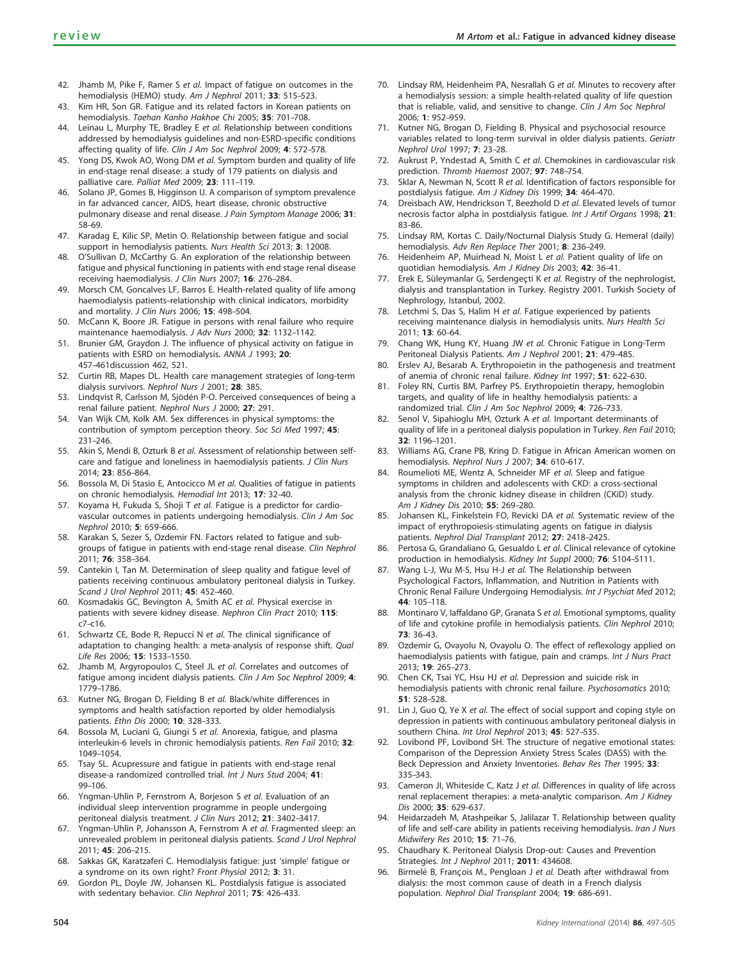- <span id="page-7-0"></span>42. Jhamb M, Pike F, Ramer S et al. Impact of fatigue on outcomes in the hemodialysis (HEMO) study. Am J Nephrol 2011; 33: 515-523.
- 43. Kim HR, Son GR. Fatigue and its related factors in Korean patients on hemodialysis. Taehan Kanho Hakhoe Chi 2005; 35: 701–708.
- 44. Leinau L, Murphy TE, Bradley E et al. Relationship between conditions addressed by hemodialysis guidelines and non-ESRD-specific conditions affecting quality of life. Clin J Am Soc Nephrol 2009; 4: 572–578.
- 45. Yong DS, Kwok AO, Wong DM et al. Symptom burden and quality of life in end-stage renal disease: a study of 179 patients on dialysis and palliative care. Palliat Med 2009; 23: 111–119.
- 46. Solano JP, Gomes B, Higginson IJ. A comparison of symptom prevalence in far advanced cancer, AIDS, heart disease, chronic obstructive pulmonary disease and renal disease. J Pain Symptom Manage 2006; 31: 58–69.
- 47. Karadag E, Kilic SP, Metin O. Relationship between fatigue and social support in hemodialysis patients. Nurs Health Sci 2013; 3: 12008.
- 48. O'Sullivan D, McCarthy G. An exploration of the relationship between fatigue and physical functioning in patients with end stage renal disease receiving haemodialysis. J Clin Nurs 2007; 16: 276–284.
- 49. Morsch CM, Goncalves LF, Barros E. Health-related quality of life among haemodialysis patients–relationship with clinical indicators, morbidity and mortality. J Clin Nurs 2006; **15**: 498-504.
- 50. McCann K, Boore JR. Fatigue in persons with renal failure who require maintenance haemodialysis. J Adv Nurs 2000; 32: 1132–1142.
- 51. Brunier GM, Graydon J. The influence of physical activity on fatigue in patients with ESRD on hemodialysis. ANNA J 1993; 20: 457–461discussion 462, 521.
- 52. Curtin RB, Mapes DL. Health care management strategies of long-term dialysis survivors. Nephrol Nurs J 2001; 28: 385.
- 53. Lindqvist R, Carlsson M, Sjödén P-O. Perceived consequences of being a renal failure patient. Nephrol Nurs J 2000; 27: 291.
- 54. Van Wijk CM, Kolk AM. Sex differences in physical symptoms: the contribution of symptom perception theory. Soc Sci Med 1997; 45: 231–246.
- 55. Akin S, Mendi B, Ozturk B et al. Assessment of relationship between selfcare and fatigue and loneliness in haemodialysis patients. J Clin Nurs 2014; 23: 856–864.
- 56. Bossola M, Di Stasio E, Antocicco M et al. Qualities of fatigue in patients on chronic hemodialysis. Hemodial Int 2013; 17: 32–40.
- 57. Koyama H, Fukuda S, Shoji T et al. Fatigue is a predictor for cardiovascular outcomes in patients undergoing hemodialysis. Clin J Am Soc Nephrol 2010; 5: 659–666.
- 58. Karakan S, Sezer S, Ozdemir FN. Factors related to fatigue and subgroups of fatigue in patients with end-stage renal disease. Clin Nephrol 2011; 76: 358–364.
- 59. Cantekin I, Tan M. Determination of sleep quality and fatigue level of patients receiving continuous ambulatory peritoneal dialysis in Turkey. Scand J Urol Nephrol 2011; 45: 452–460.
- 60. Kosmadakis GC, Bevington A, Smith AC et al. Physical exercise in patients with severe kidney disease. Nephron Clin Pract 2010; 115: c7–c16.
- 61. Schwartz CE, Bode R, Repucci N et al. The clinical significance of adaptation to changing health: a meta-analysis of response shift. Qual Life Res 2006; 15: 1533–1550.
- 62. Jhamb M, Argyropoulos C, Steel JL et al. Correlates and outcomes of fatigue among incident dialysis patients. Clin J Am Soc Nephrol 2009; 4: 1779–1786.
- 63. Kutner NG, Brogan D, Fielding B et al. Black/white differences in symptoms and health satisfaction reported by older hemodialysis patients. Ethn Dis 2000; 10: 328–333.
- 64. Bossola M, Luciani G, Giungi S et al. Anorexia, fatigue, and plasma interleukin-6 levels in chronic hemodialysis patients. Ren Fail 2010; 32: 1049–1054.
- 65. Tsay SL. Acupressure and fatigue in patients with end-stage renal disease-a randomized controlled trial. Int J Nurs Stud 2004; 41: 99–106.
- 66. Yngman-Uhlin P, Fernstrom A, Borjeson S et al. Evaluation of an individual sleep intervention programme in people undergoing peritoneal dialysis treatment. J Clin Nurs 2012; 21: 3402-3417.
- 67. Yngman-Uhlin P, Johansson A, Fernstrom A et al. Fragmented sleep: an unrevealed problem in peritoneal dialysis patients. Scand J Urol Nephrol 2011; 45: 206–215.
- 68. Sakkas GK, Karatzaferi C. Hemodialysis fatigue: just 'simple' fatigue or a syndrome on its own right? Front Physiol 2012; 3: 31.
- 69. Gordon PL, Doyle JW, Johansen KL. Postdialysis fatigue is associated with sedentary behavior. Clin Nephrol 2011; 75: 426-433.
- 70. Lindsay RM, Heidenheim PA, Nesrallah G et al. Minutes to recovery after a hemodialysis session: a simple health-related quality of life question that is reliable, valid, and sensitive to change. Clin J Am Soc Nephrol 2006; 1: 952–959.
- 71. Kutner NG, Brogan D, Fielding B. Physical and psychosocial resource variables related to long-term survival in older dialysis patients. Geriatr Nephrol Urol 1997; 7: 23–28.
- 72. Aukrust P, Yndestad A, Smith C et al. Chemokines in cardiovascular risk prediction. Thromb Haemost 2007; 97: 748-754.
- 73. Sklar A, Newman N, Scott R et al. Identification of factors responsible for postdialysis fatigue. Am J Kidney Dis 1999; 34: 464–470.
- 74. Dreisbach AW, Hendrickson T, Beezhold D et al. Elevated levels of tumor necrosis factor alpha in postdialysis fatigue. Int J Artif Organs 1998; 21: 83–86.
- 75. Lindsay RM, Kortas C. Daily/Nocturnal Dialysis Study G. Hemeral (daily) hemodialysis. Adv Ren Replace Ther 2001; 8: 236–249.
- 76. Heidenheim AP, Muirhead N, Moist L et al. Patient quality of life on quotidian hemodialysis. Am J Kidney Dis 2003; 42: 36-41.
- 77. Erek E, Süleymanlar G, Serdengeçti K et al. Registry of the nephrologist, dialysis and transplantation in Turkey. Registry 2001. Turkish Society of Nephrology, Istanbul, 2002.
- 78. Letchmi S, Das S, Halim H et al. Fatigue experienced by patients receiving maintenance dialysis in hemodialysis units. Nurs Health Sci 2011; 13: 60–64.
- 79. Chang WK, Hung KY, Huang JW et al. Chronic Fatigue in Long-Term Peritoneal Dialysis Patients. Am J Nephrol 2001; 21: 479–485.
- Erslev AJ, Besarab A. Erythropoietin in the pathogenesis and treatment of anemia of chronic renal failure. Kidney Int 1997; 51: 622-630.
- 81. Foley RN, Curtis BM, Parfrey PS. Erythropoietin therapy, hemoglobin targets, and quality of life in healthy hemodialysis patients: a randomized trial. Clin J Am Soc Nephrol 2009; 4: 726-733.
- Senol V, Sipahioglu MH, Ozturk A et al. Important determinants of quality of life in a peritoneal dialysis population in Turkey. Ren Fail 2010; 32: 1196–1201.
- Williams AG, Crane PB, Kring D. Fatigue in African American women on hemodialysis. Nephrol Nurs J 2007; 34: 610-617.
- 84. Roumelioti ME, Wentz A, Schneider MF et al. Sleep and fatigue symptoms in children and adolescents with CKD: a cross-sectional analysis from the chronic kidney disease in children (CKiD) study. Am J Kidney Dis 2010; 55: 269-280.
- 85. Johansen KL, Finkelstein FO, Revicki DA et al. Systematic review of the impact of erythropoiesis-stimulating agents on fatigue in dialysis patients. Nephrol Dial Transplant 2012; 27: 2418-2425.
- 86. Pertosa G, Grandaliano G, Gesualdo L et al. Clinical relevance of cytokine production in hemodialysis. Kidney Int Suppl 2000; 76: S104–S111.
- 87. Wang L-J, Wu M-S, Hsu H-J et al. The Relationship between Psychological Factors, Inflammation, and Nutrition in Patients with Chronic Renal Failure Undergoing Hemodialysis. Int J Psychiat Med 2012; 44: 105–118.
- 88. Montinaro V, laffaldano GP, Granata S et al. Emotional symptoms, quality of life and cytokine profile in hemodialysis patients. Clin Nephrol 2010; 73: 36–43.
- 89. Ozdemir G, Ovayolu N, Ovayolu O. The effect of reflexology applied on haemodialysis patients with fatigue, pain and cramps. Int J Nurs Pract 2013; 19: 265–273.
- 90. Chen CK, Tsai YC, Hsu HJ et al. Depression and suicide risk in hemodialysis patients with chronic renal failure. Psychosomatics 2010; 51: 528–528.
- 91. Lin J, Guo Q, Ye X et al. The effect of social support and coping style on depression in patients with continuous ambulatory peritoneal dialysis in southern China. Int Urol Nephrol 2013; 45: 527-535.
- 92. Lovibond PF, Lovibond SH. The structure of negative emotional states: Comparison of the Depression Anxiety Stress Scales (DASS) with the Beck Depression and Anxiety Inventories. Behav Res Ther 1995; 33: 335–343.
- 93. Cameron JI, Whiteside C, Katz J et al. Differences in quality of life across renal replacement therapies: a meta-analytic comparison. Am J Kidney Dis 2000; 35: 629–637.
- 94. Heidarzadeh M, Atashpeikar S, Jalilazar T. Relationship between quality of life and self-care ability in patients receiving hemodialysis. Iran J Nurs Midwifery Res 2010; 15: 71–76.
- 95. Chaudhary K. Peritoneal Dialysis Drop-out: Causes and Prevention Strategies. Int J Nephrol 2011; 2011: 434608.
- 96. Birmelé B, François M., Pengloan J et al. Death after withdrawal from dialysis: the most common cause of death in a French dialysis population. Nephrol Dial Transplant 2004; 19: 686–691.